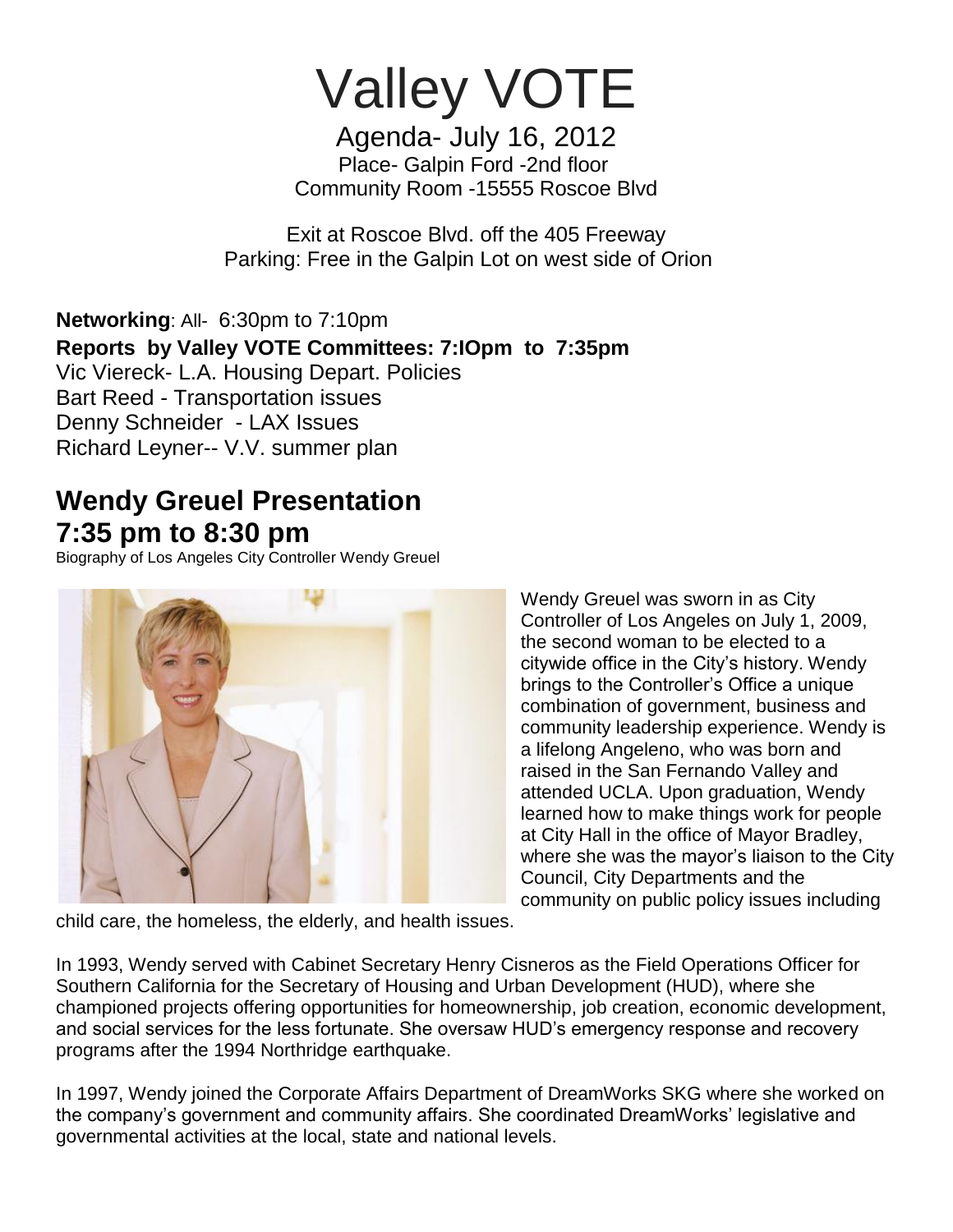Valley VOTE

Agenda- July 16, 2012 Place- Galpin Ford -2nd floor Community Room -15555 Roscoe Blvd

Exit at Roscoe Blvd. off the 405 Freeway Parking: Free in the Galpin Lot on west side of Orion

**Networking**: All- 6:30pm to 7:10pm **Reports by Valley VOTE Committees: 7:IOpm to 7:35pm** Vic Viereck- L.A. Housing Depart. Policies Bart Reed - Transportation issues Denny Schneider - LAX Issues Richard Leyner-- V.V. summer plan

## **Wendy Greuel Presentation 7:35 pm to 8:30 pm**

Biography of Los Angeles City Controller Wendy Greuel



Wendy Greuel was sworn in as City Controller of Los Angeles on July 1, 2009, the second woman to be elected to a citywide office in the City's history. Wendy brings to the Controller's Office a unique combination of government, business and community leadership experience. Wendy is a lifelong Angeleno, who was born and raised in the San Fernando Valley and attended UCLA. Upon graduation, Wendy learned how to make things work for people at City Hall in the office of Mayor Bradley, where she was the mayor's liaison to the City Council, City Departments and the community on public policy issues including

child care, the homeless, the elderly, and health issues.

In 1993, Wendy served with Cabinet Secretary Henry Cisneros as the Field Operations Officer for Southern California for the Secretary of Housing and Urban Development (HUD), where she championed projects offering opportunities for homeownership, job creation, economic development, and social services for the less fortunate. She oversaw HUD's emergency response and recovery programs after the 1994 Northridge earthquake.

In 1997, Wendy joined the Corporate Affairs Department of DreamWorks SKG where she worked on the company's government and community affairs. She coordinated DreamWorks' legislative and governmental activities at the local, state and national levels.